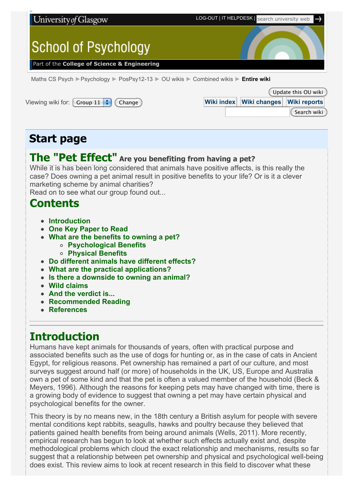

Search wiki

**[Start page](http://fims.moodle.gla.ac.uk/mod/ouwiki/view.php?id=22976&group=449)**

# **The "Pet Effect" Are you benefiting from having a pet?**

While it is has been long considered that animals have positive affects, is this really the case? Does owning a pet animal result in positive benefits to your life? Or is it a clever marketing scheme by animal charities?

Read on to see what our group found out...

## **Contents**

- **[Introduction](http://fims.moodle.gla.ac.uk/mod/ouwiki/entirewiki.php?id=22976&group=449&format=html#intro)**
- **[One Key Paper to Read](http://fims.moodle.gla.ac.uk/mod/ouwiki/entirewiki.php?id=22976&group=449&format=html#key%20paper)**
- **[What are the benefits to owning a pet?](http://fims.moodle.gla.ac.uk/mod/ouwiki/entirewiki.php?id=22976&group=449&format=html#benefits) [Psychological Benefits](http://fims.moodle.gla.ac.uk/mod/ouwiki/entirewiki.php?id=22976&group=449&format=html#psych%20ben)**
	- **[Physical Benefits](http://fims.moodle.gla.ac.uk/mod/ouwiki/entirewiki.php?id=22976&group=449&format=html#phys%20ben)**
- **[Do different animals have different effects?](http://fims.moodle.gla.ac.uk/mod/ouwiki/entirewiki.php?id=22976&group=449&format=html#diff%20animals)**
- **[What are the practical applications?](http://fims.moodle.gla.ac.uk/mod/ouwiki/entirewiki.php?id=22976&group=449&format=html#applications)**
- **[Is there a downside to owning an animal?](http://fims.moodle.gla.ac.uk/mod/ouwiki/entirewiki.php?id=22976&group=449&format=html#downside)**
- **[Wild claims](http://fims.moodle.gla.ac.uk/mod/ouwiki/entirewiki.php?id=22976&group=449&format=html#wild)**
- **[And the verdict is...](http://fims.moodle.gla.ac.uk/mod/ouwiki/entirewiki.php?id=22976&group=449&format=html#conc)**
- **[Recommended Reading](http://fims.moodle.gla.ac.uk/mod/ouwiki/entirewiki.php?id=22976&group=449&format=html#rec%20read)**
- **[References](http://fims.moodle.gla.ac.uk/mod/ouwiki/entirewiki.php?id=22976&group=449&format=html#ref)**

# **Introduction**

Humans have kept animals for thousands of years, often with practical purpose and associated benefits such as the use of dogs for hunting or, as in the case of cats in Ancient Egypt, for religious reasons. Pet ownership has remained a part of our culture, and most surveys suggest around half (or more) of households in the UK, US, Europe and Australia own a pet of some kind and that the pet is often a valued member of the household (Beck & Meyers, 1996). Although the reasons for keeping pets may have changed with time, there is a growing body of evidence to suggest that owning a pet may have certain physical and psychological benefits for the owner.

This theory is by no means new, in the 18th century a British asylum for people with severe mental conditions kept rabbits, seagulls, hawks and poultry because they believed that patients gained health benefits from being around animals (Wells, 2011). More recently, empirical research has begun to look at whether such effects actually exist and, despite methodological problems which cloud the exact relationship and mechanisms, results so far suggest that a relationship between pet ownership and physical and psychological well-being does exist. This review aims to look at recent research in this field to discover what these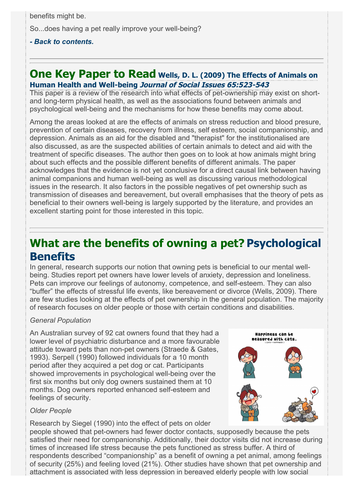benefits might be.

So...does having a pet really improve your well-being?

### *[- Back to contents.](http://fims.moodle.gla.ac.uk/mod/ouwiki/entirewiki.php?id=22976&group=449&format=html#contents)*

## **[One Key Paper to Read](http://onlinelibrary.wiley.com/doi/10.1111/j.1540-4560.2009.01612.x/full) Wells, D. L. (2009) The Effects of Animals on Human Health and Well-being Journal of Social Issues 65:523-543**

This paper is a review of the research into what effects of pet-ownership may exist on shortand long-term physical health, as well as the associations found between animals and psychological well-being and the mechanisms for how these benefits may come about.

Among the areas looked at are the effects of animals on stress reduction and blood presure, prevention of certain diseases, recovery from illness, self esteem, social companionship, and depression. Animals as an aid for the disabled and "therapist" for the institutionalised are also discussed, as are the suspected abilities of certain animals to detect and aid with the treatment of specific diseases. The author then goes on to look at how animals might bring about such effects and the possible different benefits of different animals. The paper acknowledges that the evidence is not yet conclusive for a direct causal link between having animal companions and human well-being as well as discussing various methodological issues in the research. It also factors in the possible negatives of pet ownership such as transmission of diseases and bereavement, but overall emphasises that the theory of pets as beneficial to their owners well-being is largely supported by the literature, and provides an excellent starting point for those interested in this topic.

# **What are the benefits of owning a pet? Psychological Benefits**

In general, research supports our notion that owning pets is beneficial to our mental wellbeing. Studies report pet owners have lower levels of anxiety, depression and loneliness. Pets can improve our feelings of autonomy, competence, and self-esteem. They can also "buffer" the effects of stressful life events, like bereavement or divorce (Wells, 2009). There are few studies looking at the effects of pet ownership in the general population. The majority of research focuses on older people or those with certain conditions and disabilities.

#### *General Population*

An Australian survey of 92 cat owners found that they had a lower level of psychiatric disturbance and a more favourable attitude toward pets than non-pet owners (Straede & Gates, 1993). Serpell (1990) followed individuals for a 10 month period after they acquired a pet dog or cat. Participants showed improvements in psychological well-being over the first six months but only dog owners sustained them at 10 months. Dog owners reported enhanced self-esteem and feelings of security.



## *Older People*

Research by Siegel (1990) into the effect of pets on older

people showed that pet-owners had fewer doctor contacts, supposedly because the pets satisfied their need for companionship. Additionally, their doctor visits did not increase during times of increased life stress because the pets functioned as stress buffer. A third of respondents described "companionship" as a benefit of owning a pet animal, among feelings of security (25%) and feeling loved (21%). Other studies have shown that pet ownership and attachment is associated with less depression in bereaved elderly people with low social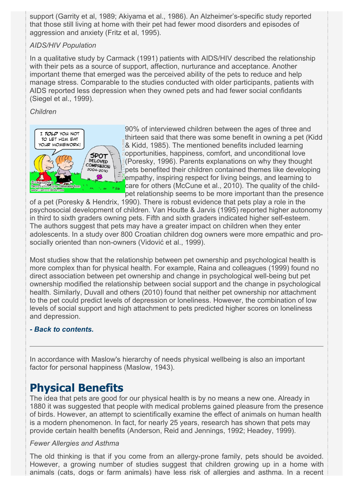support (Garrity et al, 1989; Akiyama et al., 1986). An Alzheimer's-specific study reported that those still living at home with their pet had fewer mood disorders and episodes of aggression and anxiety (Fritz et al, 1995).

## *AIDS/HIV Population*

In a qualitative study by Carmack (1991) patients with AIDS/HIV described the relationship with their pets as a source of support, affection, nurturance and acceptance. Another important theme that emerged was the perceived ability of the pets to reduce and help manage stress. Comparable to the studies conducted with older participants, patients with AIDS reported less depression when they owned pets and had fewer social confidants (Siegel et al., 1999).

## *Children*



90% of interviewed children between the ages of three and thirteen said that there was some benefit in owning a pet (Kidd & Kidd, 1985). The mentioned benefits included learning opportunities, happiness, comfort, and unconditional love (Poresky, 1996). Parents explanations on why they thought pets benefited their children contained themes like developing empathy, inspiring respect for living beings, and learning to care for others (McCune et al., 2010). The quality of the childpet relationship seems to be more important than the presence

of a pet (Poresky & Hendrix, 1990). There is robust evidence that pets play a role in the psychosocial development of children. Van Houtte & Jarvis (1995) reported higher autonomy in third to sixth graders owning pets. Fifth and sixth graders indicated higher self-esteem. The authors suggest that pets may have a greater impact on children when they enter adolescents. In a study over 800 Croatian children dog owners were more empathic and prosocially oriented than non-owners (Vidović et al., 1999).

Most studies show that the relationship between pet ownership and psychological health is more complex than for physical health. For example, Raina and colleagues (1999) found no direct association between pet ownership and change in psychological well-being but pet ownership modified the relationship between social support and the change in psychological health. Similarly, Duvall and others (2010) found that neither pet ownership nor attachment to the pet could predict levels of depression or loneliness. However, the combination of low levels of social support and high attachment to pets predicted higher scores on loneliness and depression.

## *[- Back to contents.](http://fims.moodle.gla.ac.uk/mod/ouwiki/entirewiki.php?id=22976&group=449&format=html#contents)*

In accordance with Maslow's hierarchy of needs physical wellbeing is also an important factor for personal happiness (Maslow, 1943).

## **Physical Benefits**

The idea that pets are good for our physical health is by no means a new one. Already in 1880 it was suggested that people with medical problems gained pleasure from the presence of birds. However, an attempt to scientifically examine the effect of animals on human health is a modern phenomenon. In fact, for nearly 25 years, research has shown that pets may provide certain health benefits (Anderson, Reid and Jennings, 1992; Headey, 1999).

#### *Fewer Allergies and Asthma*

The old thinking is that if you come from an allergy-prone family, pets should be avoided. However, a growing number of studies suggest that children growing up in a home with animals (cats, dogs or farm animals) have less risk of allergies and asthma. In a recent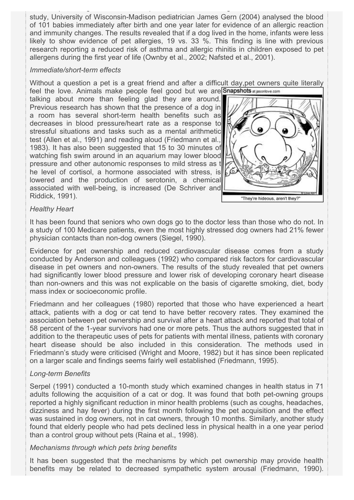study, University of Wisconsin-Madison pediatrician James Gern (2004) analysed the blood of 101 babies immediately after birth and one year later for evidence of an allergic reaction and immunity changes. The results revealed that if a dog lived in the home, infants were less likely to show evidence of pet allergies, 19 vs. 33 %. This finding is line with previous research reporting a reduced risk of asthma and allergic rhinitis in children exposed to pet allergens during the first year of life (Ownby et al., 2002; Nafsted et al., 2001).

animals (cats, dogs or farm animals) have less risk of allergies and asthma. In a recent

#### *Immediate/short-term effects*

Without a question a pet is a great friend and after a difficult day,pet owners quite literally feel the love. Animals make people feel good but we are Snapshots at jasonlove.com

talking about more than feeling glad they are around. Previous research has shown that the presence of a dog in a room has several short-term health benefits such as decreases in blood pressure/heart rate as a response to stressful situations and tasks such as a mental arithmetic test (Allen et al., 1991) and reading aloud (Friedmann et al., 1983). It has also been suggested that 15 to 30 minutes of watching fish swim around in an aquarium may lower blood pressure and other autonomic responses to mild stress as t he level of cortisol, a hormone associated with stress, is lowered and the production of serotonin, a chemical associated with well-being, is increased (De Schriver and Riddick, 1991).



#### *Healthy Heart*

It has been found that seniors who own dogs go to the doctor less than those who do not. In a study of 100 Medicare patients, even the most highly stressed dog owners had 21% fewer physician contacts than non-dog owners (Siegel, 1990).

Evidence for pet ownership and reduced cardiovascular disease comes from a study conducted by Anderson and colleagues (1992) who compared risk factors for cardiovascular disease in pet owners and non-owners. The results of the study revealed that pet owners had significantly lower blood pressure and lower risk of developing coronary heart disease than non-owners and this was not explicable on the basis of cigarette smoking, diet, body mass index or socioeconomic profile.

Friedmann and her colleagues (1980) reported that those who have experienced a heart attack, patients with a dog or cat tend to have better recovery rates. They examined the association between pet ownership and survival after a heart attack and reported that total of 58 percent of the 1-year survivors had one or more pets. Thus the authors suggested that in addition to the therapeutic uses of pets for patients with mental illness, patients with coronary heart disease should be also included in this consideration. The methods used in Friedmann's study were criticised (Wright and Moore, 1982) but it has since been replicated on a larger scale and findings seems fairly well established (Friedmann, 1995).

#### *Long-term Benefits*

Serpel (1991) conducted a 10-month study which examined changes in health status in 71 adults following the acquisition of a cat or dog. It was found that both pet-owning groups reported a highly significant reduction in minor health problems (such as coughs, headaches, dizziness and hay fever) during the first month following the pet acquisition and the effect was sustained in dog owners, not in cat owners, through 10 months. Similarly, another study found that elderly people who had pets declined less in physical health in a one year period than a control group without pets (Raina et al., 1998).

#### *Mechanisms through which pets bring benefits*

It has been suggested that the mechanisms by which pet ownership may provide health benefits may be related to decreased sympathetic system arousal (Friedmann, 1990).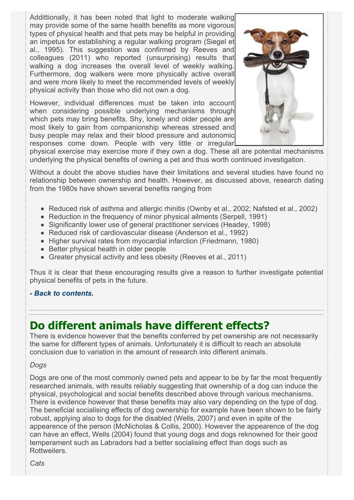Addittionally, it has been noted that light to moderate walking may provide some of the same health benefits as more vigorous types of physical health and that pets may be helpful in providing an impetus for establishing a regular walking program (Siegel et al., 1995). This suggestion was confirmed by Reeves and colleagues (2011) who reported (unsurprising) results that walking a dog increases the overall level of weekly walking. Furthermore, dog walkers were more physically active overall and were more likely to meet the recommended levels of weekly physical activity than those who did not own a dog.

However, individual differences must be taken into account when considering possible underlying mechanisms through which pets may bring benefits. Shy, lonely and older people are most likely to gain from companionship whereas stressed and busy people may relax and their blood pressure and autonomic responses come down. People with very little or irregular



physical exercise may exercise more if they own a dog. These all are potential mechanisms underlying the physical benefits of owning a pet and thus worth continued investigation.

Without a doubt the above studies have their limitations and several studies have found no relationship between ownership and health. However, as discussed above, research dating from the 1980s have shown several benefits ranging from

- Reduced risk of asthma and allergic rhinitis (Ownby et al., 2002; Nafsted et al., 2002)
- Reduction in the frequency of minor physical ailments (Serpell, 1991)
- Significantly lower use of general practitioner services (Headey, 1998)
- Reduced risk of cardiovascular disease (Anderson et al., 1992)
- Higher survival rates from myocardial infarction (Friedmann, 1980)
- Better physical health in older people
- Greater physical activity and less obesity (Reeves et al., 2011)

Thus it is clear that these encouraging results give a reason to further investigate potential physical benefits of pets in the future.

#### *[- Back to contents.](http://fims.moodle.gla.ac.uk/mod/ouwiki/entirewiki.php?id=22976&group=449&format=html#contents)*

# **Do different animals have different effects?**

There is evidence however that the benefits conferred by pet ownership are not necessarily the same for different types of animals. Unfortunately it is difficult to reach an absolute conclusion due to variation in the amount of research into different animals.

#### *Dogs*

Dogs are one of the most commonly owned pets and appear to be by far the most frequently researched animals, with results reliably suggesting that ownership of a dog can induce the physical, psychological and social benefits described above through various mechanisms. There is evidence however that these benefits may also vary depending on the type of dog. The beneficial socialising effects of dog ownership for example have been shown to be fairly robust, applying also to dogs for the disabled (Wells, 2007) and even in spite of the appearence of the person (McNicholas & Collis, 2000). However the appearence of the dog can have an effect, Wells (2004) found that young dogs and dogs reknowned for their good temperament such as Labradors had a better socialising effect than dogs such as Rottweilers.

*Cats*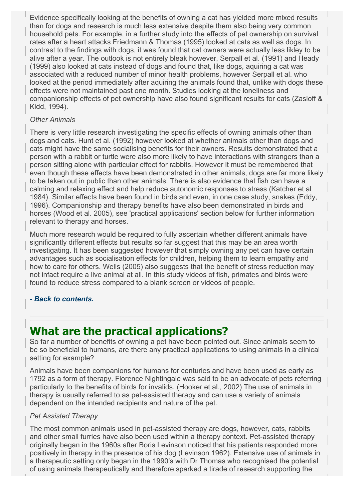Evidence specifically looking at the benefits of owning a cat has yielded more mixed results than for dogs and research is much less extensive despite them also being very common household pets. For example, in a further study into the effects of pet ownership on survival rates after a heart attacks Friedmann & Thomas (1995) looked at cats as well as dogs. In contrast to the findings with dogs, it was found that cat owners were actually less likley to be alive after a year. The outlook is not entirely bleak however, Serpall et al. (1991) and Heady (1999) also looked at cats instead of dogs and found that, like dogs, aquiring a cat was associated with a reduced number of minor health problems, however Serpall et al. who looked at the period immediately after aquiring the animals found that, unlike with dogs these effects were not maintained past one month. Studies looking at the loneliness and companionship effects of pet ownership have also found significant results for cats (Zasloff & Kidd, 1994).

## *Other Animals*

There is very little research investigating the specific effects of owning animals other than dogs and cats. Hunt et al. (1992) however looked at whether animals other than dogs and cats might have the same socialising benefits for their owners. Results demonstrated that a person with a rabbit or turtle were also more likely to have interactions with strangers than a person sitting alone with particular effect for rabbits. However it must be remembered that even though these effects have been demonstrated in other animals, dogs are far more likely to be taken out in public than other animals. There is also evidence that fish can have a calming and relaxing effect and help reduce autonomic responses to stress (Katcher et al 1984). Similar effects have been found in birds and even, in one case study, snakes (Eddy, 1996). Companionship and therapy benefits have also been demonstrated in birds and horses (Wood et al. 2005), see 'practical applications' section below for further information relevant to therapy and horses.

Much more research would be required to fully ascertain whether different animals have significantly different effects but results so far suggest that this may be an area worth investigating. It has been suggested however that simply owning any pet can have certain advantages such as socialisation effects for children, helping them to learn empathy and how to care for others. Wells (2005) also suggests that the benefit of stress reduction may not infact require a live animal at all. In this study videos of fish, primates and birds were found to reduce stress compared to a blank screen or videos of people.

## *[- Back to contents.](http://fims.moodle.gla.ac.uk/mod/ouwiki/entirewiki.php?id=22976&group=449&format=html#contents)*

## **What are the practical applications?**

So far a number of benefits of owning a pet have been pointed out. Since animals seem to be so beneficial to humans, are there any practical applications to using animals in a clinical setting for example?

Animals have been companions for humans for centuries and have been used as early as 1792 as a form of therapy. Florence Nightingale was said to be an advocate of pets referring particularly to the benefits of birds for invalids. (Hooker et al., 2002) The use of animals in therapy is usually referred to as pet-assisted therapy and can use a variety of animals dependent on the intended recipients and nature of the pet.

#### *Pet Assisted Therapy*

The most common animals used in pet-assisted therapy are dogs, however, cats, rabbits and other small furries have also been used within a therapy context. Pet-assisted therapy originally began in the 1960s after Boris Levinson noticed that his patients responded more positively in therapy in the presence of his dog (Levinson 1962). Extensive use of animals in a therapeutic setting only began in the 1990's with Dr Thomas who recognised the potential of using animals therapeutically and therefore sparked a tirade of research supporting the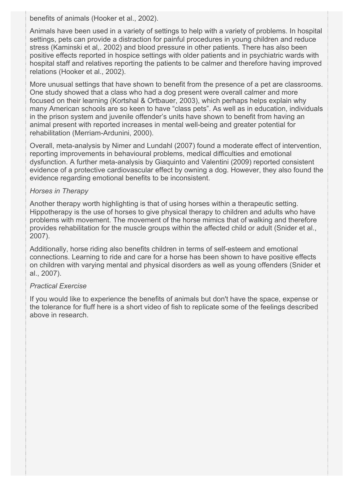benefits of animals (Hooker et al., 2002).

Animals have been used in a variety of settings to help with a variety of problems. In hospital settings, pets can provide a distraction for painful procedures in young children and reduce stress (Kaminski et al,. 2002) and blood pressure in other patients. There has also been positive effects reported in hospice settings with older patients and in psychiatric wards with hospital staff and relatives reporting the patients to be calmer and therefore having improved relations (Hooker et al., 2002).

More unusual settings that have shown to benefit from the presence of a pet are classrooms. One study showed that a class who had a dog present were overall calmer and more focused on their learning (Kortshal & Ortbauer, 2003), which perhaps helps explain why many American schools are so keen to have "class pets". As well as in education, individuals in the prison system and juvenile offender's units have shown to benefit from having an animal present with reported increases in mental well-being and greater potential for rehabilitation (Merriam-Ardunini, 2000).

Overall, meta-analysis by Nimer and Lundahl (2007) found a moderate effect of intervention, reporting improvements in behavioural problems, medical difficulties and emotional dysfunction. A further meta-analysis by Giaquinto and Valentini (2009) reported consistent evidence of a protective cardiovascular effect by owning a dog. However, they also found the evidence regarding emotional benefits to be inconsistent.

### *Horses in Therapy*

Another therapy worth highlighting is that of using horses within a therapeutic setting. Hippotherapy is the use of horses to give physical therapy to children and adults who have problems with movement. The movement of the horse mimics that of walking and therefore provides rehabilitation for the muscle groups within the affected child or adult (Snider et al., 2007).

Additionally, horse riding also benefits children in terms of self-esteem and emotional connections. Learning to ride and care for a horse has been shown to have positive effects on children with varying mental and physical disorders as well as young offenders (Snider et al., 2007).

## *Practical Exercise*

If you would like to experience the benefits of animals but don't have the space, expense or the tolerance for fluff here is a short video of fish to replicate some of the feelings described above in research.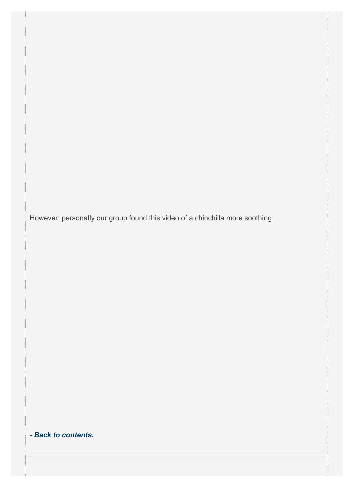However, personally our group found this video of a chinchilla more soothing.

*[- Back to contents.](http://fims.moodle.gla.ac.uk/mod/ouwiki/entirewiki.php?id=22976&group=449&format=html#contents)*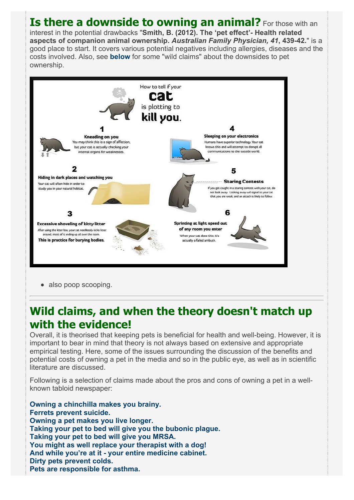## **Is there a downside to owning an animal?** For those with an interest in the potential drawbacks "**Smith, B. (2012). The 'pet effect'- Health related aspects of companion animal ownership.** *Australian Family Physician, 41***, 439-42.**" is a good place to start. It covers various potential negatives including allergies, diseases and the costs involved. Also, see **[below](http://fims.moodle.gla.ac.uk/mod/ouwiki/entirewiki.php?id=22976&group=449&format=html#negative%20claims)** for some "wild claims" about the downsides to pet ownership.



• also poop scooping.

# **Wild claims, and when the theory doesn't match up with the evidence!**

Overall, it is theorised that keeping pets is beneficial for health and well-being. However, it is important to bear in mind that theory is not always based on extensive and appropriate empirical testing. Here, some of the issues surrounding the discussion of the benefits and potential costs of owning a pet in the media and so in the public eye, as well as in scientific literature are discussed.

Following is a selection of claims made about the pros and cons of owning a pet in a wellknown tabloid newspaper:

**[Owning a chinchilla makes you brainy.](http://www.dailymail.co.uk/femail/article-2174318/Children-pets-clever-according-new-survey-chinchilla-owners-getting-best-results.html) [Ferrets prevent suicide.](http://www.dailymail.co.uk/news/article-2030323/Ferrets-saved-life-How-suicidal-sex-swap-Falklands-hero-turned-furry-pets-help.html) [Owning a pet makes you live longer.](http://www.dailymail.co.uk/sciencetech/article-2013854/Why-owning-pet-makes-happier-likely-live-longer.html) [Taking your pet to bed will give you the bubonic plague.](http://www.dailymail.co.uk/health/article-1350168/Dont-sleep-pet-catch-possibly-bubonic-plague.html) [Taking your pet to bed will give you MRSA.](http://www.dailymail.co.uk/news/article-561016/Dont-sleep-dog-Top-government-vet-warns-catch-MRSA.html) [You might as well replace your therapist with a dog!](http://www.dailymail.co.uk/news/article-2079121/Meet-therapist-Last-year-Billy-terrier-saved-kindness-strangers-Now-repaying-debt-bringing-joy-desperately-ill.html) [And while you're at it - your entire medicine cabinet.](http://www.dailymail.co.uk/health/article-1229744/Stroking-dog-helps-patients-halve-number-painkillers-take.html) [Dirty pets prevent colds.](http://www.dailymail.co.uk/health/article-123295/Why-pet-good-bad-health.html) [Pets are responsible for asthma.](http://www.dailymail.co.uk/health/article-28357/Asthma-peril-pets.html)**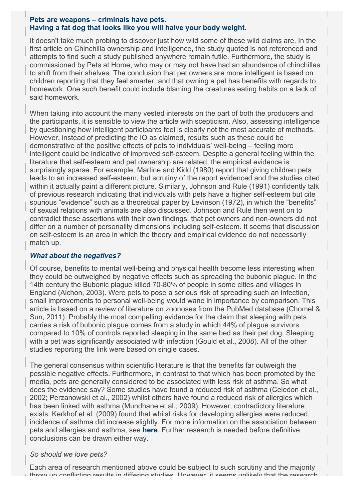#### **[Pets are weapons – criminals have pets.](http://www.dailymail.co.uk/debate/article-1256804/ANDREW-MALONE-A-weapon-lead-petty-criminals-best-friend.html) [Having a fat dog that looks like you will halve your body weight.](http://www.dailymail.co.uk/femail/article-2174701/Woman-loses-HALF-body-weight-realising-looks-like-obese-dog.html)**

It doesn't take much probing to discover just how wild some of these wild claims are. In the first article on Chinchilla ownership and intelligence, the study quoted is not referenced and attempts to find such a study published anywhere remain futile. Furthermore, the study is commissioned by Pets at Home, who may or may not have had an abundance of chinchillas to shift from their shelves. The conclusion that pet owners are more intelligent is based on children reporting that they feel smarter, and that owning a pet has benefits with regards to homework. One such benefit could include blaming the creatures eating habits on a lack of said homework.

When taking into account the many vested interests on the part of both the producers and the participants, it is sensible to view the article with scepticism. Also, assessing intelligence by questioning how intelligent participants feel is clearly not the most accurate of methods. However, instead of predicting the IQ as claimed, results such as these could be demonstrative of the positive effects of pets to individuals' well-being – feeling more intelligent could be indicative of improved self-esteem. Despite a general feeling within the literature that self-esteem and pet ownership are related, the empirical evidence is surprisingly sparse. For example, Martine and Kidd (1980) report that giving children pets leads to an increased self-esteem, but scrutiny of the report evidenced and the studies cited within it actually paint a different picture. Similarly, Johnson and Rule (1991) confidently talk of previous research indicating that individuals with pets have a higher self-esteem but cite spurious "evidence" such as a theoretical paper by Levinson (1972), in which the "benefits" of sexual relations with animals are also discussed. Johnson and Rule then went on to contradict these assertions with their own findings, that pet owners and non-owners did not differ on a number of personality dimensions including self-esteem. It seems that discussion on self-esteem is an area in which the theory and empirical evidence do not necessarily match up.

#### *What about the negatives?*

Of course, benefits to mental well-being and physical health become less interesting when they could be outweighed by negative effects such as spreading the bubonic plague. In the 14th century the Bubonic plague killed 70-80% of people in some cities and villages in England (Alchon, 2003). Were pets to pose a serious risk of spreading such an infection, small improvements to personal well-being would wane in importance by comparison. This article is based on a review of literature on zoonoses from the PubMed database (Chomel & Sun, 2011). Probably the most compelling evidence for the claim that sleeping with pets carries a risk of bubonic plague comes from a study in which 44% of plague survivors compared to 10% of controls reported sleeping in the same bed as their pet dog. Sleeping with a pet was significantly associated with infection (Gould et al., 2008). All of the other studies reporting the link were based on single cases.

The general consensus within scientific literature is that the benefits far outweigh the possible negative effects. Furthermore, in contrast to that which has been promoted by the media, pets are generally considered to be associated with less risk of asthma. So what does the evidence say? Some studies have found a reduced risk of asthma (Celedon et al., 2002; Perzanowski et al., 2002) whilst others have found a reduced risk of allergies which has been linked with asthma (Mundhane et al., 2009). However, contradictory literature exists. Kerkhof et al. (2009) found that whilst risks for developing allergies were reduced, incidence of asthma did increase slightly. For more information on the association between pets and allergies and asthma, see **[here](http://fims.moodle.gla.ac.uk/mod/ouwiki/entirewiki.php?id=22976&group=449&format=html#asthma)**. Further research is needed before definitive conclusions can be drawn either way.

#### *So should we love pets?*

Each area of research mentioned above could be subject to such scrutiny and the majority throw up conflicting results in differing studies. However, it seems unlikely that the research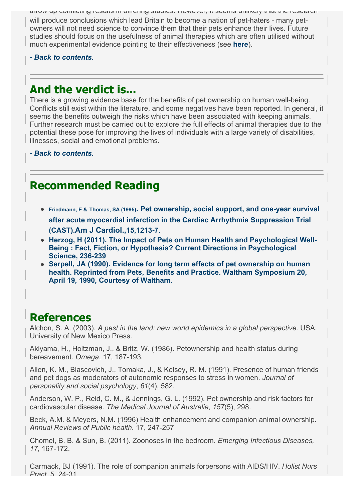throw up conflicting results in differing studies. However, it seems unlikely that the research will produce conclusions which lead Britain to become a nation of pet-haters - many petowners will not need science to convince them that their pets enhance their lives. Future studies should focus on the usefulness of animal therapies which are often utilised without much experimental evidence pointing to their effectiveness (see **[here](http://fims.moodle.gla.ac.uk/mod/ouwiki/entirewiki.php?id=22976&group=449&format=html#therapy)**).

### *[- Back to contents.](http://fims.moodle.gla.ac.uk/mod/ouwiki/entirewiki.php?id=22976&group=449&format=html#contents)*

## **And the verdict is...**

There is a growing evidence base for the benefits of pet ownership on human well-being. Conflicts still exist within the literature, and some negatives have been reported. In general, it seems the benefits outweigh the risks which have been associated with keeping animals. Further research must be carried out to explore the full effects of animal therapies due to the potential these pose for improving the lives of individuals with a large variety of disabilities, illnesses, social and emotional problems.

*[- Back to contents.](http://fims.moodle.gla.ac.uk/mod/ouwiki/entirewiki.php?id=22976&group=449&format=html#contents)*

# **Recommended Reading**

- **Friedmann, E & Thomas, SA (1995). Pet ownership, social support, and one-year survival [after acute myocardial infarction in the Cardiac Arrhythmia Suppression Trial](http://www.ncbi.nlm.nih.gov/pubmed/7502998) (CAST).Am J Cardiol.,15,1213-7.**
- **[Herzog, H \(2011\). The Impact of Pets on Human Health and Psychological Well-](http://cdp.sagepub.com/content/20/4/236.abstract)Being : Fact, Fiction, or Hypothesis? Current Directions in Psychological Science, 236-239**
- **[Serpell, JA \(1990\). Evidence for long term effects of pet ownership on human](http://www.petpartners.org/document.doc?id=44) health. Reprinted from Pets, Benefits and Practice. Waltham Symposium 20, April 19, 1990, Courtesy of Waltham.**

## **References**

Alchon, S. A. (2003). *A pest in the land: new world epidemics in a global perspective*. USA: University of New Mexico Press.

Akiyama, H., Holtzman, J., & Britz, W. (1986). Petownership and health status during bereavement. *Omega*, 17, 187-193*.*

Allen, K. M., Blascovich, J., Tomaka, J., & Kelsey, R. M. (1991). Presence of human friends and pet dogs as moderators of autonomic responses to stress in women. *Journal of personality and social psychology*, *61*(4), 582.

Anderson, W. P., Reid, C. M., & Jennings, G. L. (1992). Pet ownership and risk factors for cardiovascular disease. *The Medical Journal of Australia*, *157*(5), 298.

Beck, A.M. & Meyers, N.M. (1996) Health enhancement and companion animal ownership. *Annual Reviews of Public health.* 17, 247-257

Chomel, B. B. & Sun, B. (2011). Zoonoses in the bedroom. *Emerging Infectious Diseases, 17*, 167-172.

Carmack, BJ (1991). The role of companion animals forpersons with AIDS/HIV. *Holist Nurs Pract*.,5, 24-31.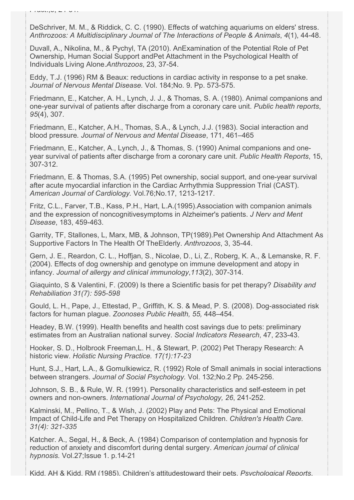DeSchriver, M. M., & Riddick, C. C. (1990). Effects of watching aquariums on elders' stress. *Anthrozoos: A Multidisciplinary Journal of The Interactions of People & Animals*, *4*(1), 44-48.

Duvall, A., Nikolina, M., & Pychyl, TA (2010). AnExamination of the Potential Role of Pet Ownership, Human Social Support andPet Attachment in the Psychological Health of Individuals Living Alone.*Anthrozoos*, 23, 37-54.

Eddy, T.J. (1996) RM & Beaux: reductions in cardiac activity in response to a pet snake. *Journal of Nervous Mental Disease.* Vol. 184;No. 9. Pp. 573-575.

Friedmann, E., Katcher, A. H., Lynch, J. J., & Thomas, S. A. (1980). Animal companions and one-year survival of patients after discharge from a coronary care unit. *Public health reports*, *95*(4), 307.

Friedmann, E., Katcher, A.H., Thomas, S.A., & Lynch, J.J. (1983). Social interaction and blood pressure*. Journal of Nervous and Mental Disease*, 171, 461–465

Friedmann, E., Katcher, A., Lynch, J., & Thomas, S. (1990) Animal companions and oneyear survival of patients after discharge from a coronary care unit. *Public Health Reports*, 15, 307-312.

Friedmann, E. & Thomas, S.A. (1995) Pet ownership, social support, and one-year survival after acute myocardial infarction in the Cardiac Arrhythmia Suppression Trial (CAST). *American Journal of Cardiology.* Vol.76;No.17, 1213-1217.

Fritz, C.L., Farver, T.B., Kass, P.H., Hart, L.A.(1995).Association with companion animals and the expression of noncognitivesymptoms in Alzheimer's patients. *J Nerv and Ment Disease*, 183, 459-463.

Garrity, TF, Stallones, L, Marx, MB, & Johnson, TP(1989).Pet Ownership And Attachment As Supportive Factors In The Health Of TheElderly. *Anthrozoos*, 3, 35-44.

Gern, J. E., Reardon, C. L., Hoffjan, S., Nicolae, D., Li, Z., Roberg, K. A., & Lemanske, R. F. (2004). Effects of dog ownership and genotype on immune development and atopy in infancy. *Journal of allergy and clinical immunology*,*113*(2), 307-314.

Giaquinto, S & Valentini, F. (2009) Is there a Scientific basis for pet therapy? *Disability and Rehabiliation 31(7): 595-598*

Gould, L. H., Pape, J., Ettestad, P., Griffith, K. S. & Mead, P. S. (2008). Dog-associated risk factors for human plague. *Zoonoses Public Health, 55,* 448–454.

Headey, B.W. (1999). Health benefits and health cost savings due to pets: preliminary estimates from an Australian national survey. *Social Indicators Research*, 47, 233-43.

Hooker, S. D., Holbrook Freeman,L. H., & Stewart, P. (2002) Pet Therapy Research: A historic view. *Holistic Nursing Practice. 17(1):17-23*

Hunt, S.J., Hart, L.A., & Gomulkiewicz, R. (1992) Role of Small animals in social interactions between strangers. *Journal of Social Psychology.* Vol. 132;No.2 Pp. 245-256.

Johnson, S. B., & Rule, W. R. (1991). Personality characteristics and self-esteem in pet owners and non-owners. *International Journal of Psychology, 26*, 241-252.

Kalminski, M., Pellino, T., & Wish, J. (2002) Play and Pets: The Physical and Emotional Impact of Child-Life and Pet Therapy on Hospitalized Children. *Children's Health Care. 31(4): 321-335*

Katcher. A., Segal, H., & Beck, A. (1984) Comparison of contemplation and hypnosis for reduction of anxiety and discomfort during dental surgery. *American journal of clinical hypnosis.* Vol.27;Issue 1. p.14-21

Kidd, AH & Kidd, RM (1985). Children's attitudestoward their pets. *Psychological Reports*,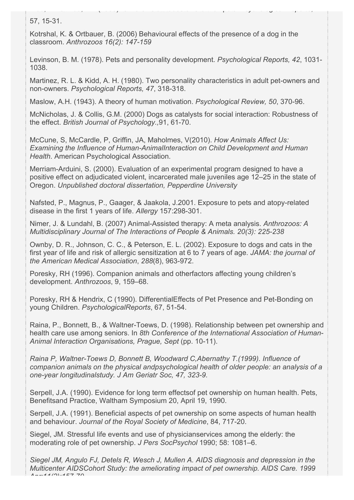57, 15-31.

Kotrshal, K. & Ortbauer, B. (2006) Behavioural effects of the presence of a dog in the classroom. *Anthrozoos 16(2): 147-159*

Kidd, AH & Kidd, RM (1985). Children's attitudestoward their pets. *Psychological Reports*,

Levinson, B. M. (1978). Pets and personality development. *Psychological Reports, 42*, 1031- 1038.

Martinez, R. L. & Kidd, A. H. (1980). Two personality characteristics in adult pet-owners and non-owners. *Psychological Reports, 47*, 318-318.

Maslow, A.H. (1943). A theory of human motivation. *Psychological Review, 50*, 370-96.

McNicholas, J. & Collis, G.M. (2000) Dogs as catalysts for social interaction: Robustness of the effect. *British Journal of Psychology.,*91, 61-70.

McCune, S, McCardle, P, Griffin, JA, Maholmes, V(2010). *How Animals Affect Us: Examining the Influence of Human-AnimalInteraction on Child Development and Human Health*. American Psychological Association.

Merriam-Arduini, S. (2000). Evaluation of an experimental program designed to have a positive effect on adjudicated violent, incarcerated male juveniles age 12–25 in the state of Oregon. *Unpublished doctoral dissertation, Pepperdine University*

Nafsted, P., Magnus, P., Gaager, & Jaakola, J.2001. Exposure to pets and atopy-related disease in the first 1 years of life. *Allergy* 157:298-301.

Nimer, J. & Lundahl, B. (2007) Animal-Assisted therapy: A meta analysis. *Anthrozoos: A Multidisciplinary Journal of The Interactions of People & Animals. 20(3): 225-238*

Ownby, D. R., Johnson, C. C., & Peterson, E. L. (2002). Exposure to dogs and cats in the first year of life and risk of allergic sensitization at 6 to 7 years of age. *JAMA: the journal of the American Medical Association*, *288*(8), 963-972.

Poresky, RH (1996). Companion animals and otherfactors affecting young children's development. *Anthrozoos*, 9, 159–68.

Poresky, RH & Hendrix, C (1990). DifferentialEffects of Pet Presence and Pet-Bonding on young Children. *PsychologicalReports*, 67, 51-54.

Raina, P., Bonnett, B., & Waltner-Toews, D. (1998). Relationship between pet ownership and health care use among seniors. In *8th Conference of the International Association of Human-Animal Interaction Organisations, Prague, Sept* (pp. 10-11).

*Raina P, Waltner-Toews D, Bonnett B, Woodward C,Abernathy T.(1999). Influence of companion animals on the physical andpsychological health of older people: an analysis of a one-year longitudinalstudy. J Am Geriatr Soc, 47, 323-9.*

Serpell, J.A. (1990). Evidence for long term effectsof pet ownership on human health. Pets, Benefitsand Practice, Waltham Symposium 20, April 19, 1990.

Serpell, J.A. (1991). Beneficial aspects of pet ownership on some aspects of human health and behaviour. *Journal of the Royal Society of Medicine*, 84, 717-20.

Siegel, JM. Stressful life events and use of physicianservices among the elderly: the moderating role of pet ownership. *J Pers SocPsychol* 1990; 58: 1081–6.

*Siegel JM, Angulo FJ, Detels R, Wesch J, Mullen A. AIDS diagnosis and depression in the Multicenter AIDSCohort Study: the ameliorating impact of pet ownership. AIDS Care. 1999 Apr;11(2):157-70.*